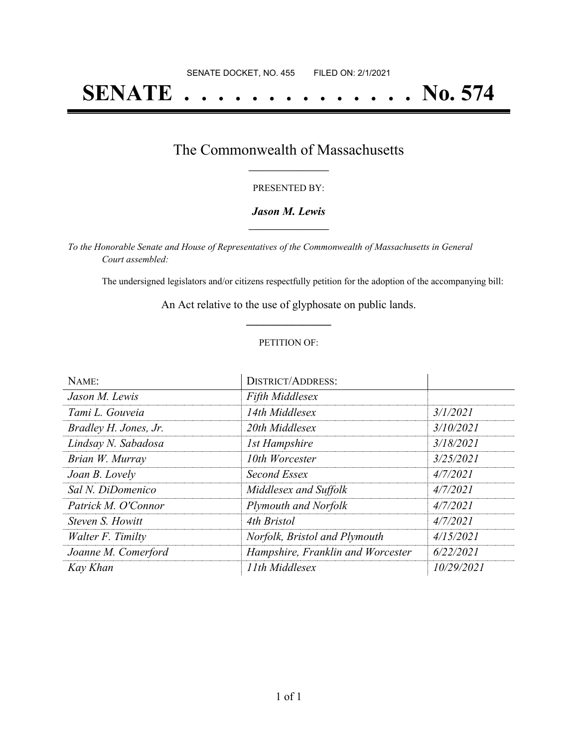# **SENATE . . . . . . . . . . . . . . No. 574**

### The Commonwealth of Massachusetts **\_\_\_\_\_\_\_\_\_\_\_\_\_\_\_\_\_**

#### PRESENTED BY:

#### *Jason M. Lewis* **\_\_\_\_\_\_\_\_\_\_\_\_\_\_\_\_\_**

*To the Honorable Senate and House of Representatives of the Commonwealth of Massachusetts in General Court assembled:*

The undersigned legislators and/or citizens respectfully petition for the adoption of the accompanying bill:

An Act relative to the use of glyphosate on public lands. **\_\_\_\_\_\_\_\_\_\_\_\_\_\_\_**

#### PETITION OF:

| NAME:                 | <b>DISTRICT/ADDRESS:</b>          |            |
|-----------------------|-----------------------------------|------------|
| Jason M. Lewis        | <b>Fifth Middlesex</b>            |            |
| Tami L. Gouveia       | 14th Middlesex                    | 3/1/2021   |
| Bradley H. Jones, Jr. | 20th Middlesex                    | 3/10/2021  |
| Lindsay N. Sabadosa   | <b>1st Hampshire</b>              | 3/18/2021  |
| Brian W. Murray       | 10th Worcester                    | 3/25/2021  |
| Joan B. Lovely        | Second Essex                      | 4/7/2021   |
| Sal N. DiDomenico     | Middlesex and Suffolk             | 4/7/2021   |
| Patrick M. O'Connor   | Plymouth and Norfolk              | 4/7/2021   |
| Steven S. Howitt      | 4th Bristol                       | 4/7/2021   |
| Walter F. Timilty     | Norfolk, Bristol and Plymouth     | 4/15/2021  |
| Joanne M. Comerford   | Hampshire, Franklin and Worcester | 6/22/2021  |
| Kay Khan              | 11th Middlesex                    | 10/29/2021 |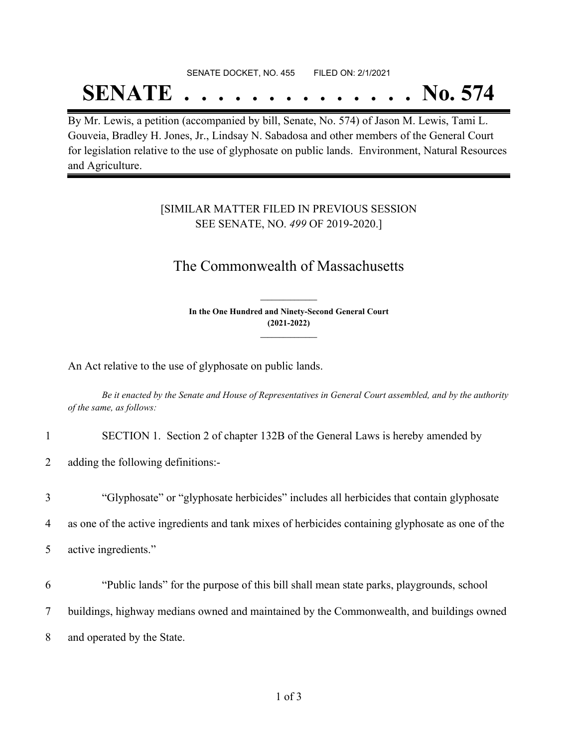# SENATE DOCKET, NO. 455 FILED ON: 2/1/2021

# **SENATE . . . . . . . . . . . . . . No. 574**

By Mr. Lewis, a petition (accompanied by bill, Senate, No. 574) of Jason M. Lewis, Tami L. Gouveia, Bradley H. Jones, Jr., Lindsay N. Sabadosa and other members of the General Court for legislation relative to the use of glyphosate on public lands. Environment, Natural Resources and Agriculture.

### [SIMILAR MATTER FILED IN PREVIOUS SESSION SEE SENATE, NO. *499* OF 2019-2020.]

## The Commonwealth of Massachusetts

**In the One Hundred and Ninety-Second General Court (2021-2022) \_\_\_\_\_\_\_\_\_\_\_\_\_\_\_**

**\_\_\_\_\_\_\_\_\_\_\_\_\_\_\_**

An Act relative to the use of glyphosate on public lands.

Be it enacted by the Senate and House of Representatives in General Court assembled, and by the authority *of the same, as follows:*

1 SECTION 1. Section 2 of chapter 132B of the General Laws is hereby amended by

2 adding the following definitions:-

3 "Glyphosate" or "glyphosate herbicides" includes all herbicides that contain glyphosate

4 as one of the active ingredients and tank mixes of herbicides containing glyphosate as one of the

5 active ingredients."

6 "Public lands" for the purpose of this bill shall mean state parks, playgrounds, school

7 buildings, highway medians owned and maintained by the Commonwealth, and buildings owned

8 and operated by the State.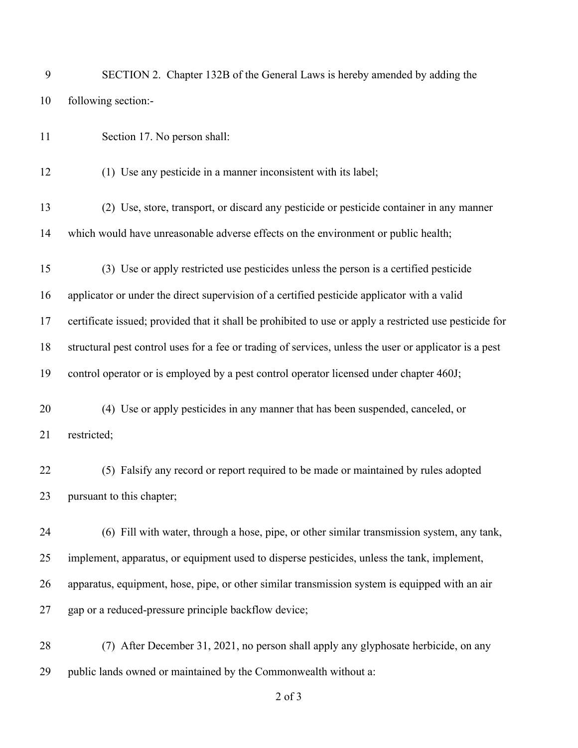| 9  | SECTION 2. Chapter 132B of the General Laws is hereby amended by adding the                             |
|----|---------------------------------------------------------------------------------------------------------|
| 10 | following section:-                                                                                     |
| 11 | Section 17. No person shall:                                                                            |
| 12 | (1) Use any pesticide in a manner inconsistent with its label;                                          |
| 13 | (2) Use, store, transport, or discard any pesticide or pesticide container in any manner                |
| 14 | which would have unreasonable adverse effects on the environment or public health;                      |
| 15 | (3) Use or apply restricted use pesticides unless the person is a certified pesticide                   |
| 16 | applicator or under the direct supervision of a certified pesticide applicator with a valid             |
| 17 | certificate issued; provided that it shall be prohibited to use or apply a restricted use pesticide for |
| 18 | structural pest control uses for a fee or trading of services, unless the user or applicator is a pest  |
| 19 | control operator or is employed by a pest control operator licensed under chapter 460J;                 |
| 20 | (4) Use or apply pesticides in any manner that has been suspended, canceled, or                         |
| 21 | restricted;                                                                                             |
| 22 | (5) Falsify any record or report required to be made or maintained by rules adopted                     |
| 23 | pursuant to this chapter;                                                                               |
| 24 | (6) Fill with water, through a hose, pipe, or other similar transmission system, any tank,              |
| 25 | implement, apparatus, or equipment used to disperse pesticides, unless the tank, implement,             |
| 26 | apparatus, equipment, hose, pipe, or other similar transmission system is equipped with an air          |
| 27 | gap or a reduced-pressure principle backflow device;                                                    |
| 28 | (7) After December 31, 2021, no person shall apply any glyphosate herbicide, on any                     |
| 29 | public lands owned or maintained by the Commonwealth without a:                                         |

of 3